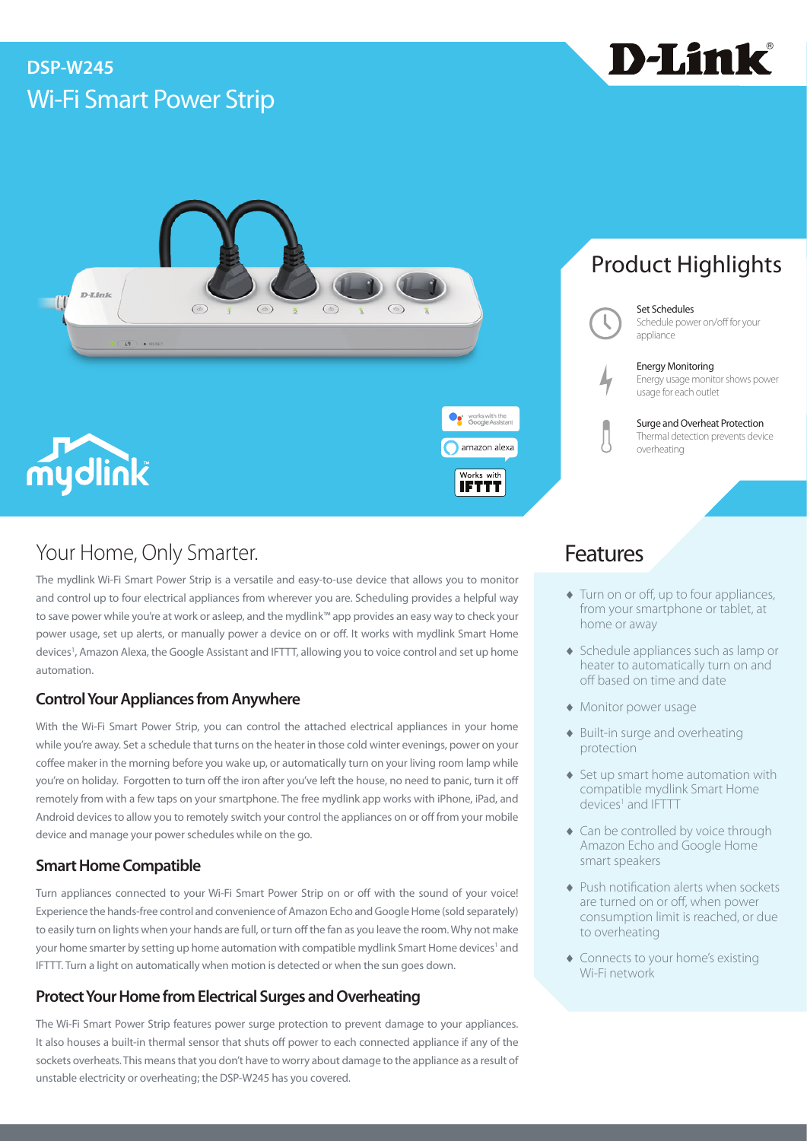# Wi-Fi Smart Power Strip **DSP-W245**





## Your Home, Only Smarter. The Contract of the Contract of Teatures

The mydlink Wi-Fi Smart Power Strip is a versatile and easy-to-use device that allows you to monitor and control up to four electrical appliances from wherever you are. Scheduling provides a helpful way to save power while you're at work or asleep, and the mydlink™ app provides an easy way to check your power usage, set up alerts, or manually power a device on or off. It works with mydlink Smart Home devices1 , Amazon Alexa, the Google Assistant and IFTTT, allowing you to voice control and set up home automation.

## **Control Your Appliances from Anywhere**

With the Wi-Fi Smart Power Strip, you can control the attached electrical appliances in your home while you're away. Set a schedule that turns on the heater in those cold winter evenings, power on your coffee maker in the morning before you wake up, or automatically turn on your living room lamp while you're on holiday. Forgotten to turn off the iron after you've left the house, no need to panic, turn it off remotely from with a few taps on your smartphone. The free mydlink app works with iPhone, iPad, and Android devices to allow you to remotely switch your control the appliances on or off from your mobile device and manage your power schedules while on the go.

## **Smart Home Compatible**

Turn appliances connected to your Wi-Fi Smart Power Strip on or off with the sound of your voice! Experience the hands-free control and convenience of Amazon Echo and Google Home (sold separately) to easily turn on lights when your hands are full, or turn off the fan as you leave the room. Why not make your home smarter by setting up home automation with compatible mydlink Smart Home devices<sup>1</sup> and IFTTT. Turn a light on automatically when motion is detected or when the sun goes down.

## **Protect Your Home from Electrical Surges and Overheating**

The Wi-Fi Smart Power Strip features power surge protection to prevent damage to your appliances. It also houses a built-in thermal sensor that shuts off power to each connected appliance if any of the sockets overheats. This means that you don't have to worry about damage to the appliance as a result of unstable electricity or overheating; the DSP-W245 has you covered.

# Product Highlights

Set Schedules Schedule power on/off for your appliance

Energy Monitoring Energy usage monitor shows power usage for each outlet

> Surge and Overheat Protection Thermal detection prevents device overheating

- ♦ Turn on or off, up to four appliances, from your smartphone or tablet, at home or away
- ♦ Schedule appliances such as lamp or heater to automatically turn on and off based on time and date
- ♦ Monitor power usage
- ♦ Built-in surge and overheating protection
- ♦ Set up smart home automation with compatible mydlink Smart Home devices<sup>1</sup> and IFTTT
- ♦ Can be controlled by voice through Amazon Echo and Google Home smart speakers
- ♦ Push notification alerts when sockets are turned on or off, when power consumption limit is reached, or due to overheating
- ♦ Connects to your home's existing Wi-Fi network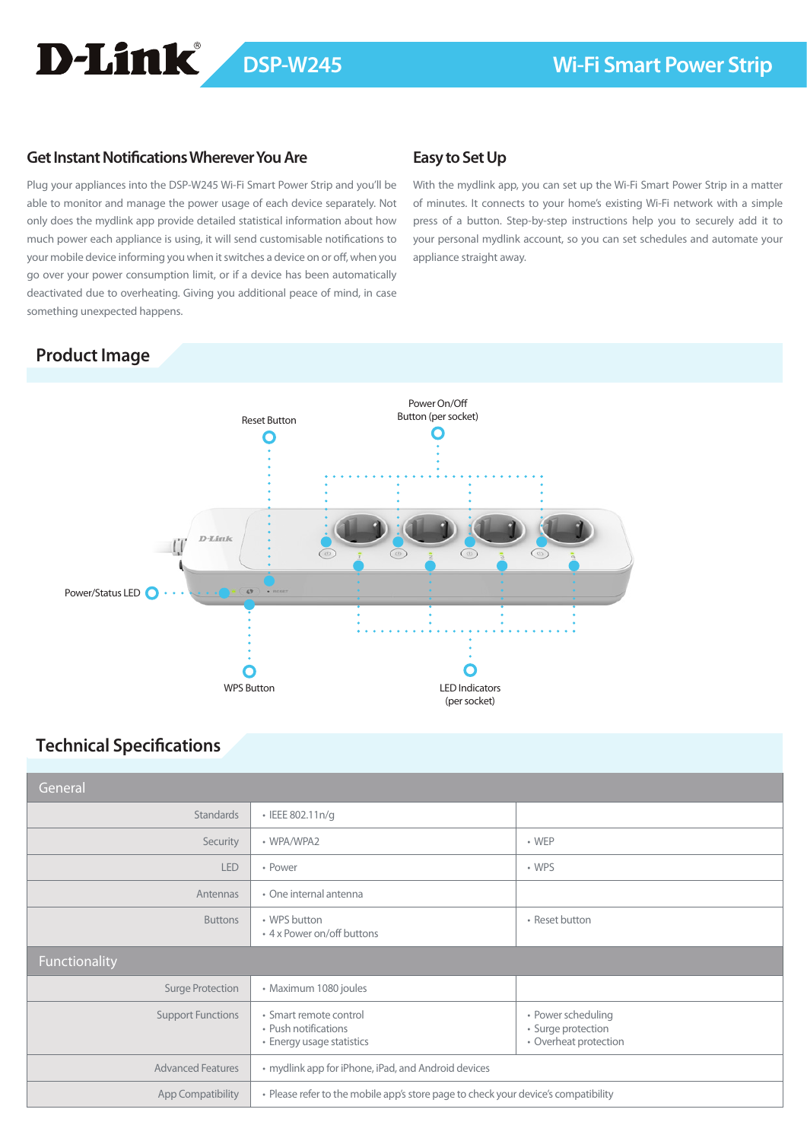# D-Link

## **Get Instant Notifications Wherever You Are**

Plug your appliances into the DSP-W245 Wi-Fi Smart Power Strip and you'll be able to monitor and manage the power usage of each device separately. Not only does the mydlink app provide detailed statistical information about how much power each appliance is using, it will send customisable notifications to your mobile device informing you when it switches a device on or off, when you go over your power consumption limit, or if a device has been automatically deactivated due to overheating. Giving you additional peace of mind, in case something unexpected happens.

## **Easy to Set Up**

With the mydlink app, you can set up the Wi-Fi Smart Power Strip in a matter of minutes. It connects to your home's existing Wi-Fi network with a simple press of a button. Step-by-step instructions help you to securely add it to your personal mydlink account, so you can set schedules and automate your appliance straight away.

## **Product Image**



## **Technical Specifications**

| General                  |                                                                                    |                                                                   |
|--------------------------|------------------------------------------------------------------------------------|-------------------------------------------------------------------|
| <b>Standards</b>         | • IEEE 802.11n/g                                                                   |                                                                   |
| Security                 | • WPA/WPA2                                                                         | $\cdot$ WEP                                                       |
| <b>LED</b>               | • Power                                                                            | • WPS                                                             |
| Antennas                 | • One internal antenna                                                             |                                                                   |
| <b>Buttons</b>           | • WPS button<br>• 4 x Power on/off buttons                                         | • Reset button                                                    |
| Functionality            |                                                                                    |                                                                   |
| Surge Protection         | · Maximum 1080 joules                                                              |                                                                   |
| <b>Support Functions</b> | · Smart remote control<br>• Push notifications<br>• Energy usage statistics        | • Power scheduling<br>· Surge protection<br>• Overheat protection |
| <b>Advanced Features</b> | • mydlink app for iPhone, iPad, and Android devices                                |                                                                   |
| App Compatibility        | • Please refer to the mobile app's store page to check your device's compatibility |                                                                   |